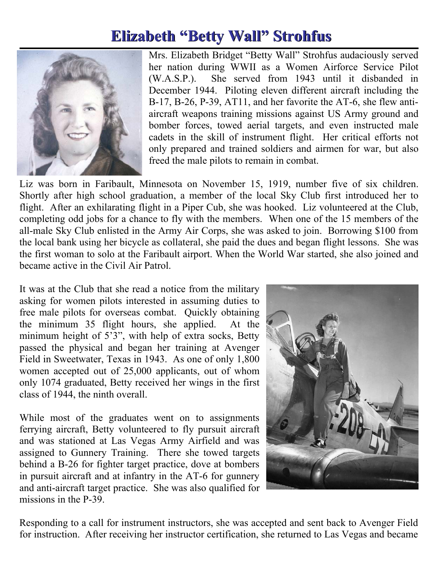## **Elizabeth "Betty Wall" Strohfus Elizabeth "Betty Wall" Strohfus**



Mrs. Elizabeth Bridget "Betty Wall" Strohfus audaciously served her nation during WWII as a Women Airforce Service Pilot (W.A.S.P.). She served from 1943 until it disbanded in December 1944. Piloting eleven different aircraft including the B-17, B-26, P-39, AT11, and her favorite the AT-6, she flew antiaircraft weapons training missions against US Army ground and bomber forces, towed aerial targets, and even instructed male cadets in the skill of instrument flight. Her critical efforts not only prepared and trained soldiers and airmen for war, but also freed the male pilots to remain in combat.

Liz was born in Faribault, Minnesota on November 15, 1919, number five of six children. Shortly after high school graduation, a member of the local Sky Club first introduced her to flight. After an exhilarating flight in a Piper Cub, she was hooked. Liz volunteered at the Club, completing odd jobs for a chance to fly with the members. When one of the 15 members of the all-male Sky Club enlisted in the Army Air Corps, she was asked to join. Borrowing \$100 from the local bank using her bicycle as collateral, she paid the dues and began flight lessons. She was the first woman to solo at the Faribault airport. When the World War started, she also joined and became active in the Civil Air Patrol.

It was at the Club that she read a notice from the military asking for women pilots interested in assuming duties to free male pilots for overseas combat. Quickly obtaining the minimum 35 flight hours, she applied. At the minimum height of 5'3", with help of extra socks, Betty passed the physical and began her training at Avenger Field in Sweetwater, Texas in 1943. As one of only 1,800 women accepted out of 25,000 applicants, out of whom only 1074 graduated, Betty received her wings in the first class of 1944, the ninth overall.

While most of the graduates went on to assignments ferrying aircraft, Betty volunteered to fly pursuit aircraft and was stationed at Las Vegas Army Airfield and was assigned to Gunnery Training. There she towed targets behind a B-26 for fighter target practice, dove at bombers in pursuit aircraft and at infantry in the AT-6 for gunnery and anti-aircraft target practice. She was also qualified for missions in the P-39.



Responding to a call for instrument instructors, she was accepted and sent back to Avenger Field for instruction. After receiving her instructor certification, she returned to Las Vegas and became